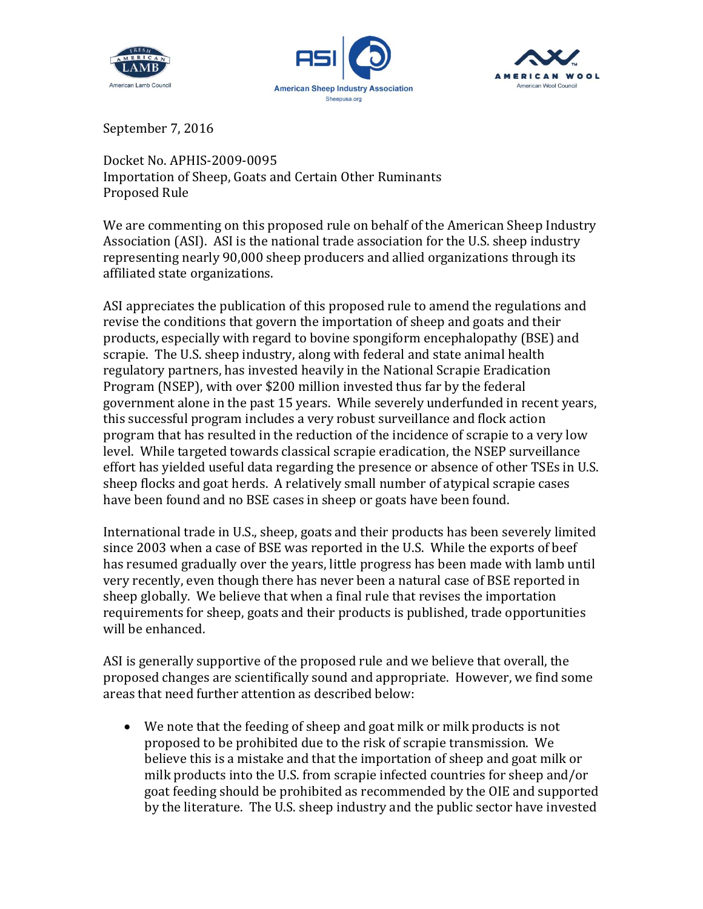





September 7, 2016

Docket No. APHIS-2009-0095 Importation of Sheep, Goats and Certain Other Ruminants Proposed Rule

We are commenting on this proposed rule on behalf of the American Sheep Industry Association (ASI). ASI is the national trade association for the U.S. sheep industry representing nearly 90,000 sheep producers and allied organizations through its affiliated state organizations.

ASI appreciates the publication of this proposed rule to amend the regulations and revise the conditions that govern the importation of sheep and goats and their products, especially with regard to bovine spongiform encephalopathy (BSE) and scrapie. The U.S. sheep industry, along with federal and state animal health regulatory partners, has invested heavily in the National Scrapie Eradication Program (NSEP), with over \$200 million invested thus far by the federal government alone in the past 15 years. While severely underfunded in recent years, this successful program includes a very robust surveillance and flock action program that has resulted in the reduction of the incidence of scrapie to a very low level. While targeted towards classical scrapie eradication, the NSEP surveillance effort has yielded useful data regarding the presence or absence of other TSEs in U.S. sheep flocks and goat herds. A relatively small number of atypical scrapie cases have been found and no BSE cases in sheep or goats have been found.

International trade in U.S., sheep, goats and their products has been severely limited since 2003 when a case of BSE was reported in the U.S. While the exports of beef has resumed gradually over the years, little progress has been made with lamb until very recently, even though there has never been a natural case of BSE reported in sheep globally. We believe that when a final rule that revises the importation requirements for sheep, goats and their products is published, trade opportunities will be enhanced.

ASI is generally supportive of the proposed rule and we believe that overall, the proposed changes are scientifically sound and appropriate. However, we find some areas that need further attention as described below:

 We note that the feeding of sheep and goat milk or milk products is not proposed to be prohibited due to the risk of scrapie transmission. We believe this is a mistake and that the importation of sheep and goat milk or milk products into the U.S. from scrapie infected countries for sheep and/or goat feeding should be prohibited as recommended by the OIE and supported by the literature. The U.S. sheep industry and the public sector have invested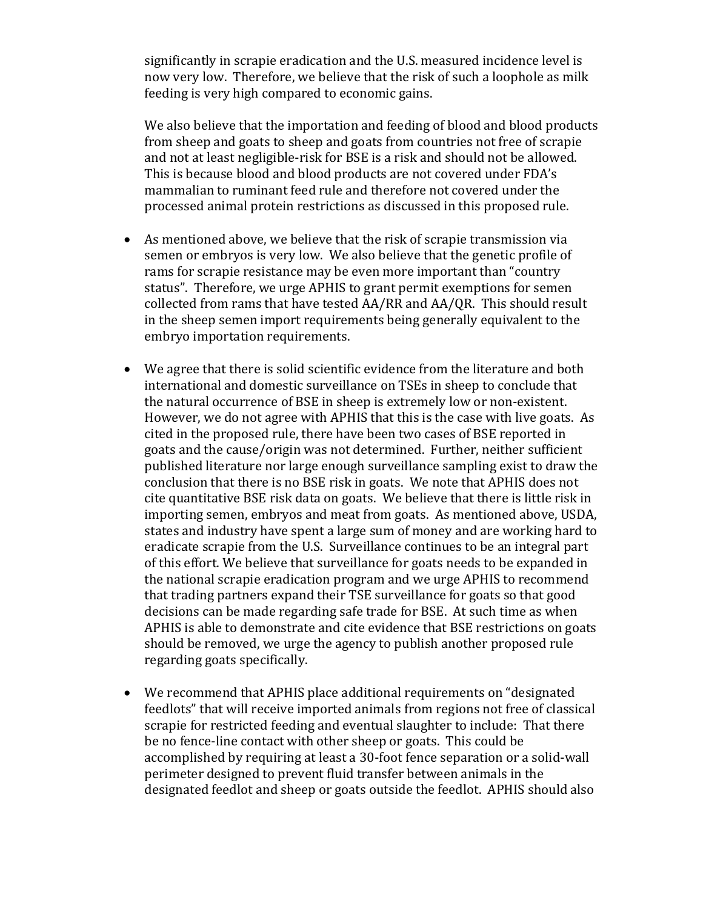significantly in scrapie eradication and the U.S. measured incidence level is now very low. Therefore, we believe that the risk of such a loophole as milk feeding is very high compared to economic gains.

We also believe that the importation and feeding of blood and blood products from sheep and goats to sheep and goats from countries not free of scrapie and not at least negligible-risk for BSE is a risk and should not be allowed. This is because blood and blood products are not covered under FDA's mammalian to ruminant feed rule and therefore not covered under the processed animal protein restrictions as discussed in this proposed rule.

- As mentioned above, we believe that the risk of scrapie transmission via semen or embryos is very low. We also believe that the genetic profile of rams for scrapie resistance may be even more important than "country status". Therefore, we urge APHIS to grant permit exemptions for semen collected from rams that have tested AA/RR and AA/QR. This should result in the sheep semen import requirements being generally equivalent to the embryo importation requirements.
- We agree that there is solid scientific evidence from the literature and both international and domestic surveillance on TSEs in sheep to conclude that the natural occurrence of BSE in sheep is extremely low or non-existent. However, we do not agree with APHIS that this is the case with live goats. As cited in the proposed rule, there have been two cases of BSE reported in goats and the cause/origin was not determined. Further, neither sufficient published literature nor large enough surveillance sampling exist to draw the conclusion that there is no BSE risk in goats. We note that APHIS does not cite quantitative BSE risk data on goats. We believe that there is little risk in importing semen, embryos and meat from goats. As mentioned above, USDA, states and industry have spent a large sum of money and are working hard to eradicate scrapie from the U.S. Surveillance continues to be an integral part of this effort. We believe that surveillance for goats needs to be expanded in the national scrapie eradication program and we urge APHIS to recommend that trading partners expand their TSE surveillance for goats so that good decisions can be made regarding safe trade for BSE. At such time as when APHIS is able to demonstrate and cite evidence that BSE restrictions on goats should be removed, we urge the agency to publish another proposed rule regarding goats specifically.
- We recommend that APHIS place additional requirements on "designated feedlots" that will receive imported animals from regions not free of classical scrapie for restricted feeding and eventual slaughter to include: That there be no fence-line contact with other sheep or goats. This could be accomplished by requiring at least a 30-foot fence separation or a solid-wall perimeter designed to prevent fluid transfer between animals in the designated feedlot and sheep or goats outside the feedlot. APHIS should also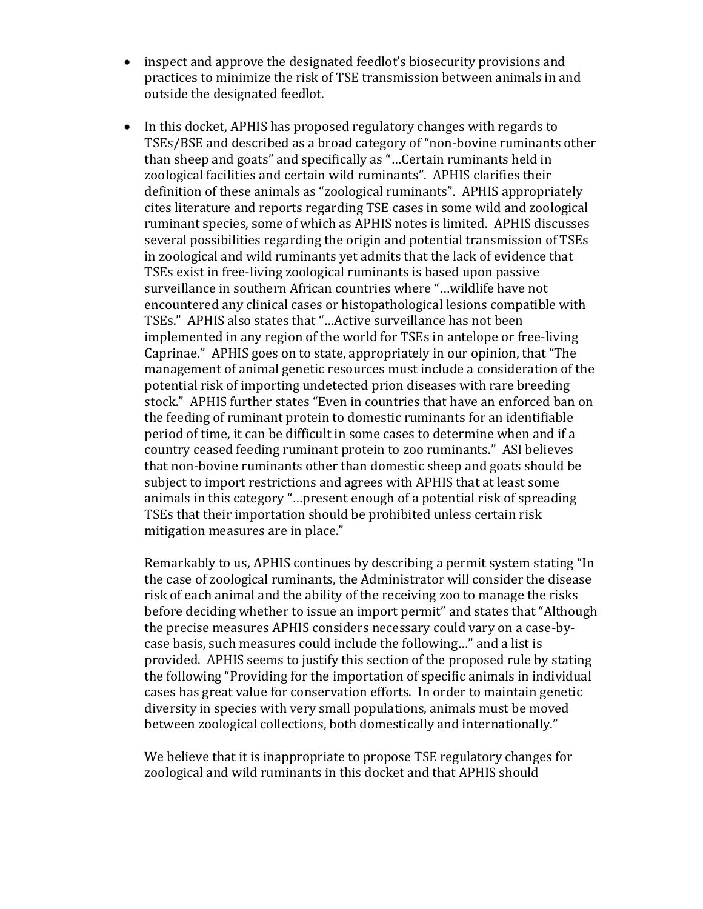- inspect and approve the designated feedlot's biosecurity provisions and practices to minimize the risk of TSE transmission between animals in and outside the designated feedlot.
- In this docket, APHIS has proposed regulatory changes with regards to TSEs/BSE and described as a broad category of "non-bovine ruminants other than sheep and goats" and specifically as "…Certain ruminants held in zoological facilities and certain wild ruminants". APHIS clarifies their definition of these animals as "zoological ruminants". APHIS appropriately cites literature and reports regarding TSE cases in some wild and zoological ruminant species, some of which as APHIS notes is limited. APHIS discusses several possibilities regarding the origin and potential transmission of TSEs in zoological and wild ruminants yet admits that the lack of evidence that TSEs exist in free-living zoological ruminants is based upon passive surveillance in southern African countries where "…wildlife have not encountered any clinical cases or histopathological lesions compatible with TSEs." APHIS also states that "…Active surveillance has not been implemented in any region of the world for TSEs in antelope or free-living Caprinae." APHIS goes on to state, appropriately in our opinion, that "The management of animal genetic resources must include a consideration of the potential risk of importing undetected prion diseases with rare breeding stock." APHIS further states "Even in countries that have an enforced ban on the feeding of ruminant protein to domestic ruminants for an identifiable period of time, it can be difficult in some cases to determine when and if a country ceased feeding ruminant protein to zoo ruminants." ASI believes that non-bovine ruminants other than domestic sheep and goats should be subject to import restrictions and agrees with APHIS that at least some animals in this category "…present enough of a potential risk of spreading TSEs that their importation should be prohibited unless certain risk mitigation measures are in place."

Remarkably to us, APHIS continues by describing a permit system stating "In the case of zoological ruminants, the Administrator will consider the disease risk of each animal and the ability of the receiving zoo to manage the risks before deciding whether to issue an import permit" and states that "Although the precise measures APHIS considers necessary could vary on a case-bycase basis, such measures could include the following…" and a list is provided. APHIS seems to justify this section of the proposed rule by stating the following "Providing for the importation of specific animals in individual cases has great value for conservation efforts. In order to maintain genetic diversity in species with very small populations, animals must be moved between zoological collections, both domestically and internationally."

We believe that it is inappropriate to propose TSE regulatory changes for zoological and wild ruminants in this docket and that APHIS should